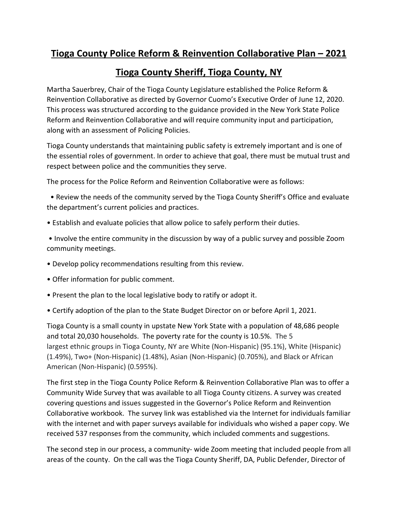## **Tioga County Police Reform & Reinvention Collaborative Plan – 2021**

## **Tioga County Sheriff, Tioga County, NY**

Martha Sauerbrey, Chair of the Tioga County Legislature established the Police Reform & Reinvention Collaborative as directed by Governor Cuomo's Executive Order of June 12, 2020. This process was structured according to the guidance provided in the New York State Police Reform and Reinvention Collaborative and will require community input and participation, along with an assessment of Policing Policies.

Tioga County understands that maintaining public safety is extremely important and is one of the essential roles of government. In order to achieve that goal, there must be mutual trust and respect between police and the communities they serve.

The process for the Police Reform and Reinvention Collaborative were as follows:

• Review the needs of the community served by the Tioga County Sheriff's Office and evaluate the department's current policies and practices.

• Establish and evaluate policies that allow police to safely perform their duties.

• Involve the entire community in the discussion by way of a public survey and possible Zoom community meetings.

- Develop policy recommendations resulting from this review.
- Offer information for public comment.
- Present the plan to the local legislative body to ratify or adopt it.
- Certify adoption of the plan to the State Budget Director on or before April 1, 2021.

Tioga County is a small county in upstate New York State with a population of 48,686 people and total 20,030 households. The poverty rate for the county is 10.5%. The 5 largest ethnic groups in Tioga County, NY are White (Non-Hispanic) (95.1%), White (Hispanic) (1.49%), Two+ (Non-Hispanic) (1.48%), Asian (Non-Hispanic) (0.705%), and Black or African American (Non-Hispanic) (0.595%).

The first step in the Tioga County Police Reform & Reinvention Collaborative Plan was to offer a Community Wide Survey that was available to all Tioga County citizens. A survey was created covering questions and issues suggested in the Governor's Police Reform and Reinvention Collaborative workbook. The survey link was established via the Internet for individuals familiar with the internet and with paper surveys available for individuals who wished a paper copy. We received 537 responses from the community, which included comments and suggestions.

The second step in our process, a community- wide Zoom meeting that included people from all areas of the county. On the call was the Tioga County Sheriff, DA, Public Defender, Director of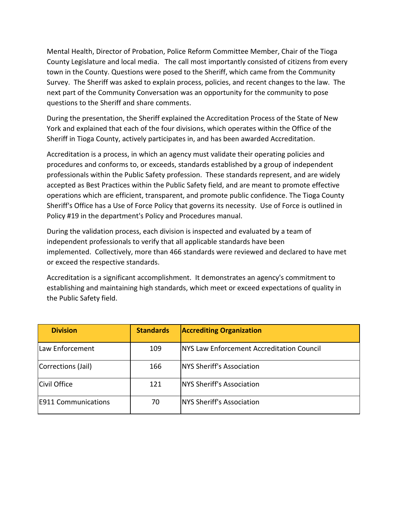Mental Health, Director of Probation, Police Reform Committee Member, Chair of the Tioga County Legislature and local media. The call most importantly consisted of citizens from every town in the County. Questions were posed to the Sheriff, which came from the Community Survey. The Sheriff was asked to explain process, policies, and recent changes to the law. The next part of the Community Conversation was an opportunity for the community to pose questions to the Sheriff and share comments.

During the presentation, the Sheriff explained the Accreditation Process of the State of New York and explained that each of the four divisions, which operates within the Office of the Sheriff in Tioga County, actively participates in, and has been awarded Accreditation.

Accreditation is a process, in which an agency must validate their operating policies and procedures and conforms to, or exceeds, standards established by a group of independent professionals within the Public Safety profession. These standards represent, and are widely accepted as Best Practices within the Public Safety field, and are meant to promote effective operations which are efficient, transparent, and promote public confidence. The Tioga County Sheriff's Office has a Use of Force Policy that governs its necessity. Use of Force is outlined in Policy #19 in the department's Policy and Procedures manual.

During the validation process, each division is inspected and evaluated by a team of independent professionals to verify that all applicable standards have been implemented. Collectively, more than 466 standards were reviewed and declared to have met or exceed the respective standards.

Accreditation is a significant accomplishment. It demonstrates an agency's commitment to establishing and maintaining high standards, which meet or exceed expectations of quality in the Public Safety field.

| <b>Division</b>            | <b>Standards</b> | <b>Accrediting Organization</b>                   |
|----------------------------|------------------|---------------------------------------------------|
| Law Enforcement            | 109              | <b>INYS Law Enforcement Accreditation Council</b> |
| Corrections (Jail)         | 166              | <b>NYS Sheriff's Association</b>                  |
| Civil Office               | 121              | NYS Sheriff's Association                         |
| <b>E911 Communications</b> | 70               | <b>NYS Sheriff's Association</b>                  |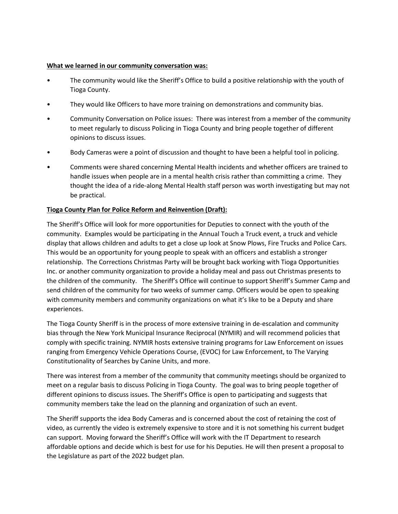## **What we learned in our community conversation was:**

- The community would like the Sheriff's Office to build a positive relationship with the youth of Tioga County.
- They would like Officers to have more training on demonstrations and community bias.
- Community Conversation on Police issues: There was interest from a member of the community to meet regularly to discuss Policing in Tioga County and bring people together of different opinions to discuss issues.
- Body Cameras were a point of discussion and thought to have been a helpful tool in policing.
- Comments were shared concerning Mental Health incidents and whether officers are trained to handle issues when people are in a mental health crisis rather than committing a crime. They thought the idea of a ride-along Mental Health staff person was worth investigating but may not be practical.

## **Tioga County Plan for Police Reform and Reinvention (Draft):**

The Sheriff's Office will look for more opportunities for Deputies to connect with the youth of the community. Examples would be participating in the Annual Touch a Truck event, a truck and vehicle display that allows children and adults to get a close up look at Snow Plows, Fire Trucks and Police Cars. This would be an opportunity for young people to speak with an officers and establish a stronger relationship. The Corrections Christmas Party will be brought back working with Tioga Opportunities Inc. or another community organization to provide a holiday meal and pass out Christmas presents to the children of the community. The Sheriff's Office will continue to support Sheriff's Summer Camp and send children of the community for two weeks of summer camp. Officers would be open to speaking with community members and community organizations on what it's like to be a Deputy and share experiences.

The Tioga County Sheriff is in the process of more extensive training in de-escalation and community bias through the New York Municipal Insurance Reciprocal (NYMIR) and will recommend policies that comply with specific training. NYMIR hosts extensive training programs for Law Enforcement on issues ranging from Emergency Vehicle Operations Course, (EVOC) for Law Enforcement, to The Varying Constitutionality of Searches by Canine Units, and more.

There was interest from a member of the community that community meetings should be organized to meet on a regular basis to discuss Policing in Tioga County. The goal was to bring people together of different opinions to discuss issues. The Sheriff's Office is open to participating and suggests that community members take the lead on the planning and organization of such an event.

The Sheriff supports the idea Body Cameras and is concerned about the cost of retaining the cost of video, as currently the video is extremely expensive to store and it is not something his current budget can support. Moving forward the Sheriff's Office will work with the IT Department to research affordable options and decide which is best for use for his Deputies. He will then present a proposal to the Legislature as part of the 2022 budget plan.